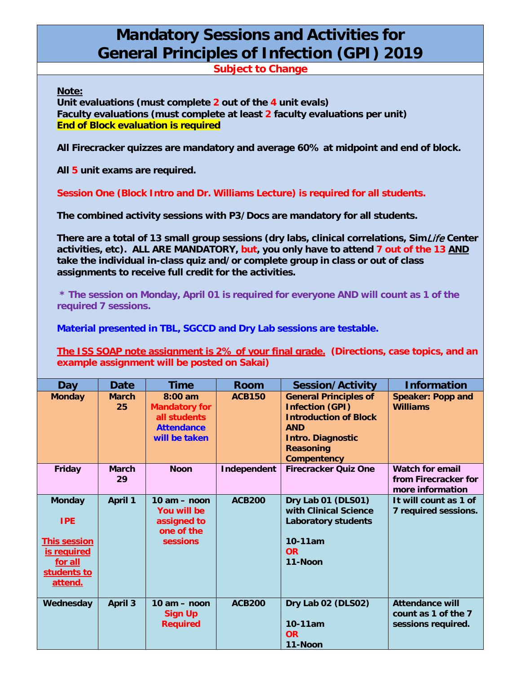## **Mandatory Sessions and Activities for General Principles of Infection (GPI) 2019**

**Subject to Change**

**Note:**

**Unit evaluations (must complete 2 out of the 4 unit evals) Faculty evaluations (must complete at least 2 faculty evaluations per unit) End of Block evaluation is required**

**All Firecracker quizzes are mandatory and average 60% at midpoint and end of block.**

**All 5 unit exams are required.**

**Session One (Block Intro and Dr. Williams Lecture) is required for all students.**

**The combined activity sessions with P3/Docs are mandatory for all students.** 

**There are a total of 13 small group sessions (dry labs, clinical correlations, Sim**Life **Center activities, etc). ALL ARE MANDATORY, but, you only have to attend 7 out of the 13 AND take the individual in-class quiz and/or complete group in class or out of class assignments to receive full credit for the activities.**

**\* The session on Monday, April 01 is required for everyone AND will count as 1 of the required 7 sessions.**

**Material presented in TBL, SGCCD and Dry Lab sessions are testable.**

**The ISS SOAP note assignment is 2% of your final grade. (Directions, case topics, and an example assignment will be posted on Sakai)**

| Day                                                                                                    | <b>Date</b>        | <b>Time</b>                                                                             | <b>Room</b>   | <b>Session/Activity</b>                                                                                                                                                    | <b>Information</b>                                                  |
|--------------------------------------------------------------------------------------------------------|--------------------|-----------------------------------------------------------------------------------------|---------------|----------------------------------------------------------------------------------------------------------------------------------------------------------------------------|---------------------------------------------------------------------|
| <b>Monday</b>                                                                                          | <b>March</b><br>25 | $8:00$ am<br><b>Mandatory for</b><br>all students<br><b>Attendance</b><br>will be taken | <b>ACB150</b> | <b>General Principles of</b><br><b>Infection (GPI)</b><br><b>Introduction of Block</b><br><b>AND</b><br><b>Intro. Diagnostic</b><br><b>Reasoning</b><br><b>Compentency</b> | <b>Speaker: Popp and</b><br><b>Williams</b>                         |
| Friday                                                                                                 | <b>March</b><br>29 | <b>Noon</b>                                                                             | Independent   | <b>Firecracker Quiz One</b>                                                                                                                                                | <b>Watch for email</b><br>from Firecracker for<br>more information  |
| <b>Monday</b><br><b>IPE</b><br><b>This session</b><br>is required<br>for all<br>students to<br>attend. | April 1            | $10 am - noon$<br>You will be<br>assigned to<br>one of the<br><b>sessions</b>           | <b>ACB200</b> | Dry Lab 01 (DLS01)<br>with Clinical Science<br><b>Laboratory students</b><br>$10-11am$<br><b>OR</b><br>11-Noon                                                             | It will count as 1 of<br>7 required sessions.                       |
| Wednesday                                                                                              | <b>April 3</b>     | $10 am - noon$<br>Sign Up<br><b>Required</b>                                            | <b>ACB200</b> | Dry Lab 02 (DLS02)<br>$10-11am$<br><b>OR</b><br>11-Noon                                                                                                                    | <b>Attendance will</b><br>count as 1 of the 7<br>sessions required. |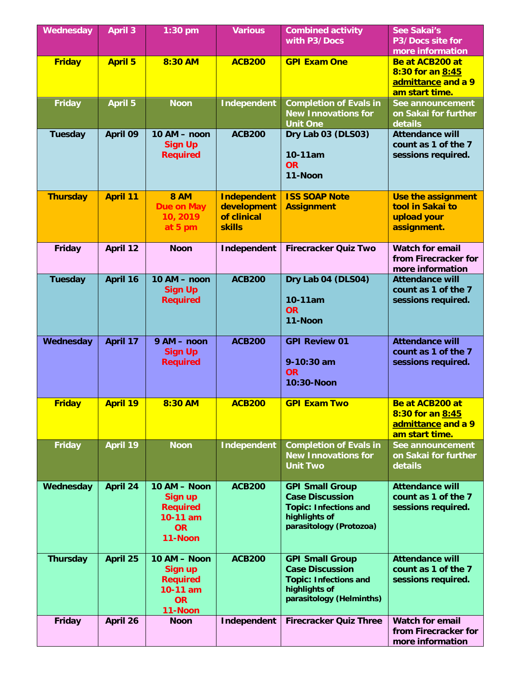| Wednesday       | <b>April 3</b>  | $1:30$ pm                                                                             | <b>Various</b>                                   | <b>Combined activity</b><br>with P3/Docs                                                                                      | <b>See Sakai's</b><br>P3/Docs site for<br>more information                  |
|-----------------|-----------------|---------------------------------------------------------------------------------------|--------------------------------------------------|-------------------------------------------------------------------------------------------------------------------------------|-----------------------------------------------------------------------------|
| <b>Friday</b>   | <b>April 5</b>  | 8:30 AM                                                                               | <b>ACB200</b>                                    | <b>GPI Exam One</b>                                                                                                           | Be at ACB200 at<br>8:30 for an 8:45<br>admittance and a 9<br>am start time. |
| <b>Friday</b>   | <b>April 5</b>  | <b>Noon</b>                                                                           | Independent                                      | <b>Completion of Evals in</b><br><b>New Innovations for</b><br><b>Unit One</b>                                                | See announcement<br>on Sakai for further<br>details                         |
| <b>Tuesday</b>  | April 09        | 10 AM - noon<br><b>Sign Up</b><br><b>Required</b>                                     | <b>ACB200</b>                                    | Dry Lab 03 (DLS03)<br>10-11am<br><b>OR</b><br>11-Noon                                                                         | <b>Attendance will</b><br>count as 1 of the 7<br>sessions required.         |
| <b>Thursday</b> | <b>April 11</b> | <b>8 AM</b><br><b>Due on May</b><br>10, 2019                                          | <b>Independent</b><br>development<br>of clinical | <b>ISS SOAP Note</b><br><b>Assignment</b>                                                                                     | Use the assignment<br>tool in Sakai to<br>upload your                       |
|                 |                 | at 5 pm                                                                               | <b>skills</b>                                    |                                                                                                                               | assignment.                                                                 |
| <b>Friday</b>   | <b>April 12</b> | <b>Noon</b>                                                                           | Independent                                      | <b>Firecracker Quiz Two</b>                                                                                                   | <b>Watch for email</b><br>from Firecracker for<br>more information          |
| <b>Tuesday</b>  | April 16        | 10 AM - noon<br><b>Sign Up</b><br><b>Required</b>                                     | <b>ACB200</b>                                    | Dry Lab 04 (DLS04)<br>10-11am<br><b>OR</b><br>11-Noon                                                                         | <b>Attendance will</b><br>count as 1 of the 7<br>sessions required.         |
| Wednesday       | April 17        | 9 AM - noon<br><b>Sign Up</b><br><b>Required</b>                                      | <b>ACB200</b>                                    | <b>GPI Review 01</b><br>9-10:30 am<br><b>OR</b><br>10:30-Noon                                                                 | <b>Attendance will</b><br>count as 1 of the 7<br>sessions required.         |
| <b>Friday</b>   | <b>April 19</b> | 8:30 AM                                                                               | <b>ACB200</b>                                    | <b>GPI Exam Two</b>                                                                                                           | Be at ACB200 at<br>8:30 for an 8:45<br>admittance and a 9<br>am start time. |
| <b>Friday</b>   | April 19        | <b>Noon</b>                                                                           | <b>Independent</b>                               | <b>Completion of Evals in</b><br><b>New Innovations for</b><br><b>Unit Two</b>                                                | See announcement<br>on Sakai for further<br>details                         |
| Wednesday       | <b>April 24</b> | 10 AM - Noon<br>Sign up<br><b>Required</b><br>10-11 am<br><b>OR</b><br>11-Noon        | <b>ACB200</b>                                    | <b>GPI Small Group</b><br><b>Case Discussion</b><br><b>Topic: Infections and</b><br>highlights of<br>parasitology (Protozoa)  | <b>Attendance will</b><br>count as 1 of the 7<br>sessions required.         |
| <b>Thursday</b> | April 25        | 10 AM - Noon<br><b>Sign up</b><br><b>Required</b><br>10-11 am<br><b>OR</b><br>11-Noon | <b>ACB200</b>                                    | <b>GPI Small Group</b><br><b>Case Discussion</b><br><b>Topic: Infections and</b><br>highlights of<br>parasitology (Helminths) | <b>Attendance will</b><br>count as 1 of the 7<br>sessions required.         |
| <b>Friday</b>   | April 26        | <b>Noon</b>                                                                           | Independent                                      | <b>Firecracker Quiz Three</b>                                                                                                 | <b>Watch for email</b><br>from Firecracker for<br>more information          |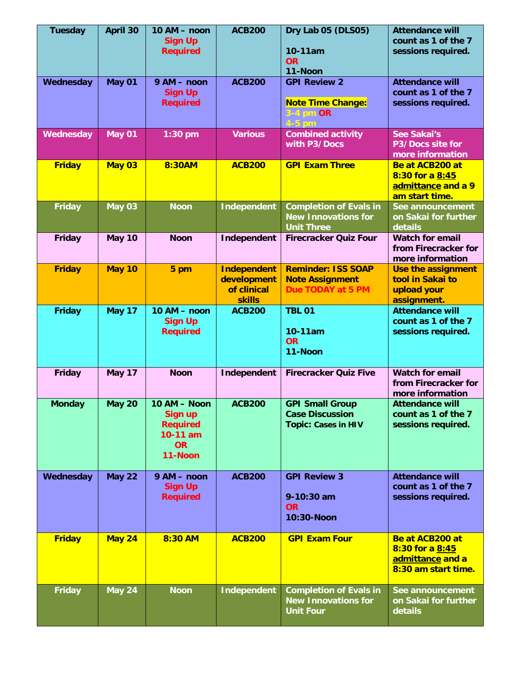| <b>Tuesday</b> | <b>April 30</b> | 10 AM - noon<br><b>Sign Up</b><br><b>Required</b>                                       | <b>ACB200</b>                                                     | Dry Lab 05 (DLS05)<br>10-11am<br><b>OR</b><br>11-Noon                            | <b>Attendance will</b><br>count as 1 of the 7<br>sessions required.           |
|----------------|-----------------|-----------------------------------------------------------------------------------------|-------------------------------------------------------------------|----------------------------------------------------------------------------------|-------------------------------------------------------------------------------|
| Wednesday      | May 01          | 9 AM - noon<br><b>Sign Up</b><br><b>Required</b>                                        | <b>ACB200</b>                                                     | <b>GPI Review 2</b><br><b>Note Time Change:</b><br>$3-4$ pm $OR$                 | <b>Attendance will</b><br>count as 1 of the 7<br>sessions required.           |
| Wednesday      | May 01          | 1:30 pm                                                                                 | <b>Various</b>                                                    | <b>Combined activity</b><br>with P3/Docs                                         | <b>See Sakai's</b><br>P3/Docs site for<br>more information                    |
| <b>Friday</b>  | <b>May 03</b>   | 8:30AM                                                                                  | <b>ACB200</b>                                                     | <b>GPI Exam Three</b>                                                            | Be at ACB200 at<br>8:30 for a 8:45<br>admittance and a 9<br>am start time.    |
| <b>Friday</b>  | <b>May 03</b>   | <b>Noon</b>                                                                             | <b>Independent</b>                                                | <b>Completion of Evals in</b><br><b>New Innovations for</b><br><b>Unit Three</b> | See announcement<br>on Sakai for further<br>details                           |
| Friday         | May 10          | <b>Noon</b>                                                                             | Independent                                                       | <b>Firecracker Quiz Four</b>                                                     | <b>Watch for email</b><br>from Firecracker for<br>more information            |
| <b>Friday</b>  | <b>May 10</b>   | 5 pm                                                                                    | <b>Independent</b><br>development<br>of clinical<br><b>skills</b> | <b>Reminder: ISS SOAP</b><br><b>Note Assignment</b><br>Due TODAY at 5 PM         | Use the assignment<br>tool in Sakai to<br>upload your<br>assignment.          |
| <b>Friday</b>  | <b>May 17</b>   | 10 AM - noon<br><b>Sign Up</b><br><b>Required</b>                                       | <b>ACB200</b>                                                     | <b>TBL 01</b><br>10-11am<br><b>OR</b><br>11-Noon                                 | <b>Attendance will</b><br>count as 1 of the 7<br>sessions required.           |
| Friday         | <b>May 17</b>   | <b>Noon</b>                                                                             | Independent                                                       | <b>Firecracker Quiz Five</b>                                                     | <b>Watch for email</b><br>from Firecracker for<br>more information            |
| <b>Monday</b>  | <b>May 20</b>   | $10 AM - Noon$<br><b>Sign up</b><br><b>Required</b><br>10-11 am<br><b>OR</b><br>11-Noon | <b>ACB200</b>                                                     | <b>GPI Small Group</b><br><b>Case Discussion</b><br><b>Topic: Cases in HIV</b>   | <b>Attendance will</b><br>count as 1 of the 7<br>sessions required.           |
| Wednesday      | <b>May 22</b>   | 9 AM - noon<br><b>Sign Up</b><br><b>Required</b>                                        | <b>ACB200</b>                                                     | <b>GPI Review 3</b><br>9-10:30 am<br><b>OR</b><br>10:30-Noon                     | <b>Attendance will</b><br>count as 1 of the 7<br>sessions required.           |
| <b>Friday</b>  | May 24          | 8:30 AM                                                                                 | <b>ACB200</b>                                                     | <b>GPI Exam Four</b>                                                             | Be at ACB200 at<br>8:30 for a 8:45<br>admittance and a<br>8:30 am start time. |
| <b>Friday</b>  | <b>May 24</b>   | <b>Noon</b>                                                                             | Independent                                                       | <b>Completion of Evals in</b><br><b>New Innovations for</b><br><b>Unit Four</b>  | See announcement<br>on Sakai for further<br>details                           |